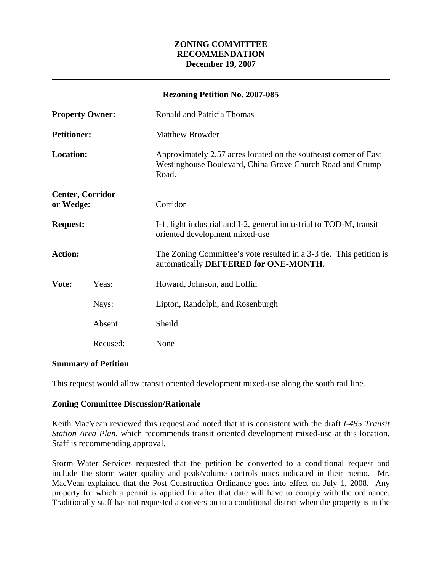# **ZONING COMMITTEE RECOMMENDATION December 19, 2007**

| <b>Rezoning Petition No. 2007-085</b> |          |                                                                                                                                        |
|---------------------------------------|----------|----------------------------------------------------------------------------------------------------------------------------------------|
| <b>Property Owner:</b>                |          | <b>Ronald and Patricia Thomas</b>                                                                                                      |
| <b>Petitioner:</b>                    |          | <b>Matthew Browder</b>                                                                                                                 |
| <b>Location:</b>                      |          | Approximately 2.57 acres located on the southeast corner of East<br>Westinghouse Boulevard, China Grove Church Road and Crump<br>Road. |
| <b>Center, Corridor</b><br>or Wedge:  |          | Corridor                                                                                                                               |
| <b>Request:</b>                       |          | I-1, light industrial and I-2, general industrial to TOD-M, transit<br>oriented development mixed-use                                  |
| <b>Action:</b>                        |          | The Zoning Committee's vote resulted in a 3-3 tie. This petition is<br>automatically DEFFERED for ONE-MONTH.                           |
| Vote:                                 | Yeas:    | Howard, Johnson, and Loflin                                                                                                            |
|                                       | Nays:    | Lipton, Randolph, and Rosenburgh                                                                                                       |
|                                       | Absent:  | Sheild                                                                                                                                 |
|                                       | Recused: | None                                                                                                                                   |

## **Summary of Petition**

This request would allow transit oriented development mixed-use along the south rail line.

### **Zoning Committee Discussion/Rationale**

Keith MacVean reviewed this request and noted that it is consistent with the draft *I-485 Transit Station Area Plan,* which recommends transit oriented development mixed-use at this location. Staff is recommending approval.

Storm Water Services requested that the petition be converted to a conditional request and include the storm water quality and peak/volume controls notes indicated in their memo. Mr. MacVean explained that the Post Construction Ordinance goes into effect on July 1, 2008. Any property for which a permit is applied for after that date will have to comply with the ordinance. Traditionally staff has not requested a conversion to a conditional district when the property is in the